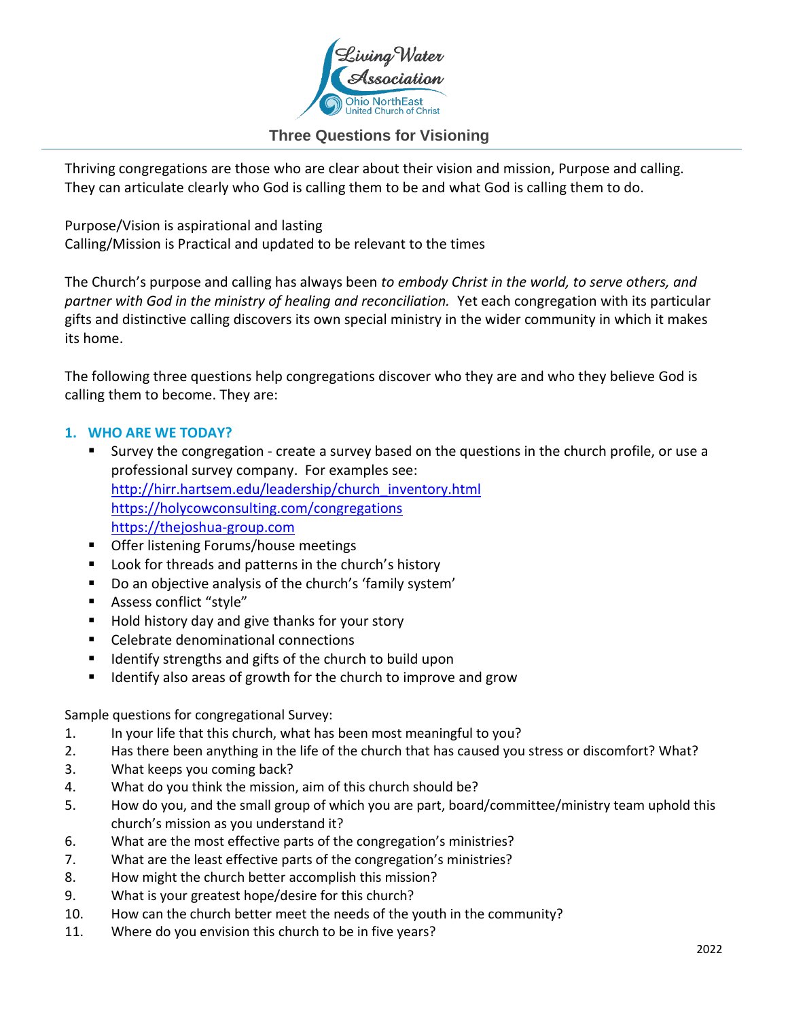

## **Three Questions for Visioning**

Thriving congregations are those who are clear about their vision and mission, Purpose and calling. They can articulate clearly who God is calling them to be and what God is calling them to do.

Purpose/Vision is aspirational and lasting Calling/Mission is Practical and updated to be relevant to the times

The Church's purpose and calling has always been *to embody Christ in the world, to serve others, and partner with God in the ministry of healing and reconciliation.* Yet each congregation with its particular gifts and distinctive calling discovers its own special ministry in the wider community in which it makes its home.

The following three questions help congregations discover who they are and who they believe God is calling them to become. They are:

## **1. WHO ARE WE TODAY?**

- Survey the congregation create a survey based on the questions in the church profile, or use a professional survey company. For examples see: [http://hirr.hartsem.edu/leadership/church\\_inventory.html](http://hirr.hartsem.edu/leadership/church_inventory.html) <https://holycowconsulting.com/congregations> [https://thejoshua-group.com](https://thejoshua-group.com/)
- Offer listening Forums/house meetings
- Look for threads and patterns in the church's history
- Do an objective analysis of the church's 'family system'
- Assess conflict "style"
- Hold history day and give thanks for your story
- Celebrate denominational connections
- Identify strengths and gifts of the church to build upon
- Identify also areas of growth for the church to improve and grow

Sample questions for congregational Survey:

- 1. In your life that this church, what has been most meaningful to you?
- 2. Has there been anything in the life of the church that has caused you stress or discomfort? What?
- 3. What keeps you coming back?
- 4. What do you think the mission, aim of this church should be?
- 5. How do you, and the small group of which you are part, board/committee/ministry team uphold this church's mission as you understand it?
- 6. What are the most effective parts of the congregation's ministries?
- 7. What are the least effective parts of the congregation's ministries?
- 8. How might the church better accomplish this mission?
- 9. What is your greatest hope/desire for this church?
- 10. How can the church better meet the needs of the youth in the community?
- 11. Where do you envision this church to be in five years?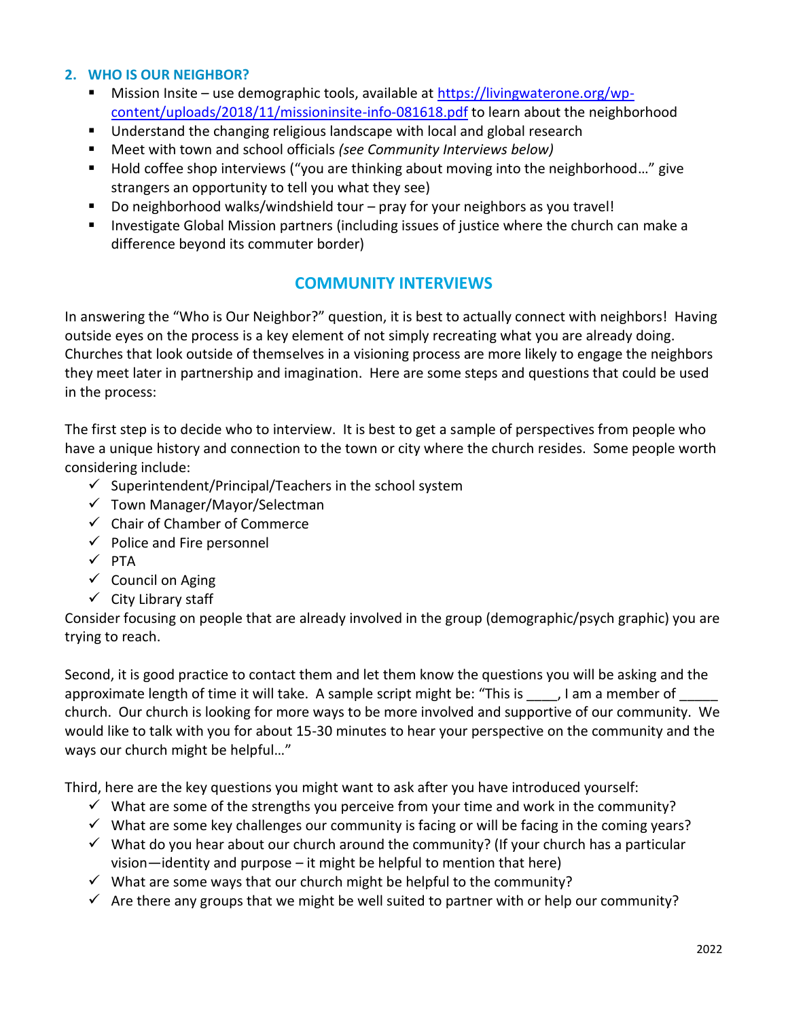### **2. WHO IS OUR NEIGHBOR?**

- Mission Insite use demographic tools, available at [https://livingwaterone.org/wp](https://livingwaterone.org/wp-content/uploads/2018/11/missioninsite-info-081618.pdf)[content/uploads/2018/11/missioninsite-info-081618.pdf](https://livingwaterone.org/wp-content/uploads/2018/11/missioninsite-info-081618.pdf) to learn about the neighborhood
- Understand the changing religious landscape with local and global research
- Meet with town and school officials *(see Community Interviews below)*
- Hold coffee shop interviews ("you are thinking about moving into the neighborhood..." give strangers an opportunity to tell you what they see)
- Do neighborhood walks/windshield tour pray for your neighbors as you travel!
- Investigate Global Mission partners (including issues of justice where the church can make a difference beyond its commuter border)

## **COMMUNITY INTERVIEWS**

In answering the "Who is Our Neighbor?" question, it is best to actually connect with neighbors! Having outside eyes on the process is a key element of not simply recreating what you are already doing. Churches that look outside of themselves in a visioning process are more likely to engage the neighbors they meet later in partnership and imagination. Here are some steps and questions that could be used in the process:

The first step is to decide who to interview. It is best to get a sample of perspectives from people who have a unique history and connection to the town or city where the church resides. Some people worth considering include:

- $\checkmark$  Superintendent/Principal/Teachers in the school system
- ✓ Town Manager/Mayor/Selectman
- ✓ Chair of Chamber of Commerce
- $\checkmark$  Police and Fire personnel
- $\checkmark$  PTA
- $\checkmark$  Council on Aging
- $\checkmark$  City Library staff

Consider focusing on people that are already involved in the group (demographic/psych graphic) you are trying to reach.

Second, it is good practice to contact them and let them know the questions you will be asking and the approximate length of time it will take. A sample script might be: "This is \_\_\_\_, I am a member of church. Our church is looking for more ways to be more involved and supportive of our community. We would like to talk with you for about 15-30 minutes to hear your perspective on the community and the ways our church might be helpful…"

Third, here are the key questions you might want to ask after you have introduced yourself:

- $\checkmark$  What are some of the strengths you perceive from your time and work in the community?
- $\checkmark$  What are some key challenges our community is facing or will be facing in the coming years?
- $\checkmark$  What do you hear about our church around the community? (If your church has a particular vision—identity and purpose – it might be helpful to mention that here)
- $\checkmark$  What are some ways that our church might be helpful to the community?
- $\checkmark$  Are there any groups that we might be well suited to partner with or help our community?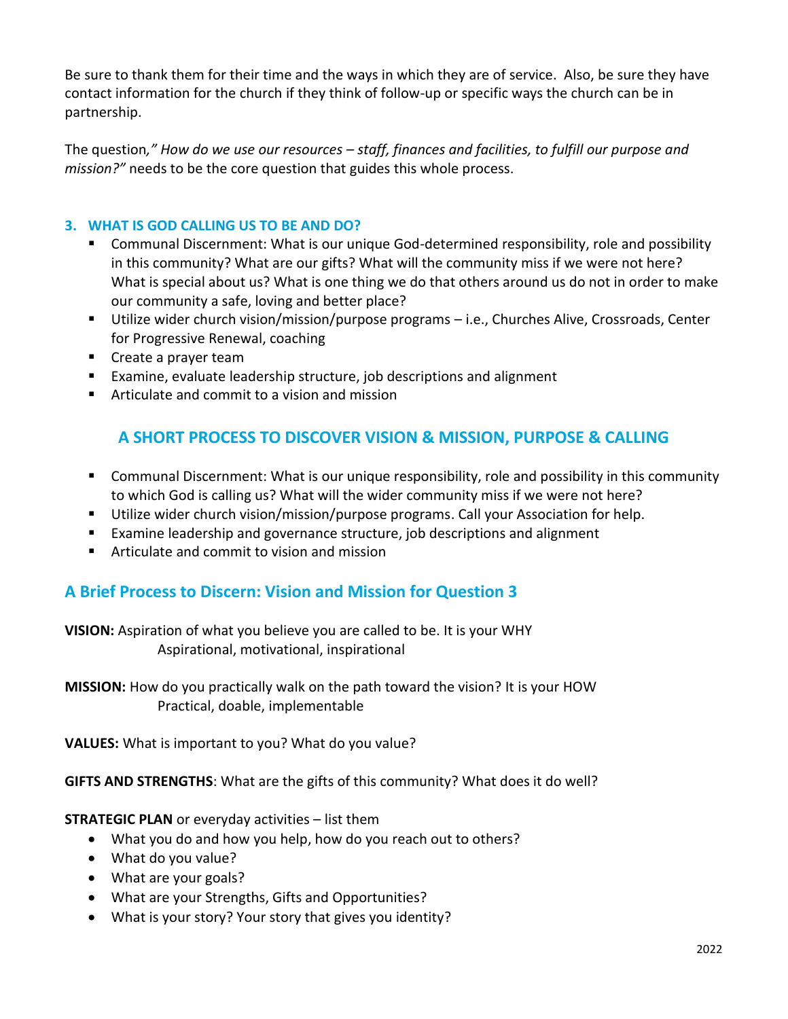Be sure to thank them for their time and the ways in which they are of service. Also, be sure they have contact information for the church if they think of follow-up or specific ways the church can be in partnership.

The question*," How do we use our resources – staff, finances and facilities, to fulfill our purpose and mission?"* needs to be the core question that guides this whole process.

## **3. WHAT IS GOD CALLING US TO BE AND DO?**

- Communal Discernment: What is our unique God-determined responsibility, role and possibility in this community? What are our gifts? What will the community miss if we were not here? What is special about us? What is one thing we do that others around us do not in order to make our community a safe, loving and better place?
- Utilize wider church vision/mission/purpose programs i.e., Churches Alive, Crossroads, Center for Progressive Renewal, coaching
- Create a prayer team
- Examine, evaluate leadership structure, job descriptions and alignment
- Articulate and commit to a vision and mission

# **A SHORT PROCESS TO DISCOVER VISION & MISSION, PURPOSE & CALLING**

- Communal Discernment: What is our unique responsibility, role and possibility in this community to which God is calling us? What will the wider community miss if we were not here?
- Utilize wider church vision/mission/purpose programs. Call your Association for help.
- Examine leadership and governance structure, job descriptions and alignment
- Articulate and commit to vision and mission

## **A Brief Process to Discern: Vision and Mission for Question 3**

**VISION:** Aspiration of what you believe you are called to be. It is your WHY Aspirational, motivational, inspirational

**MISSION:** How do you practically walk on the path toward the vision? It is your HOW Practical, doable, implementable

**VALUES:** What is important to you? What do you value?

**GIFTS AND STRENGTHS**: What are the gifts of this community? What does it do well?

**STRATEGIC PLAN** or everyday activities – list them

- What you do and how you help, how do you reach out to others?
- What do you value?
- What are your goals?
- What are your Strengths, Gifts and Opportunities?
- What is your story? Your story that gives you identity?